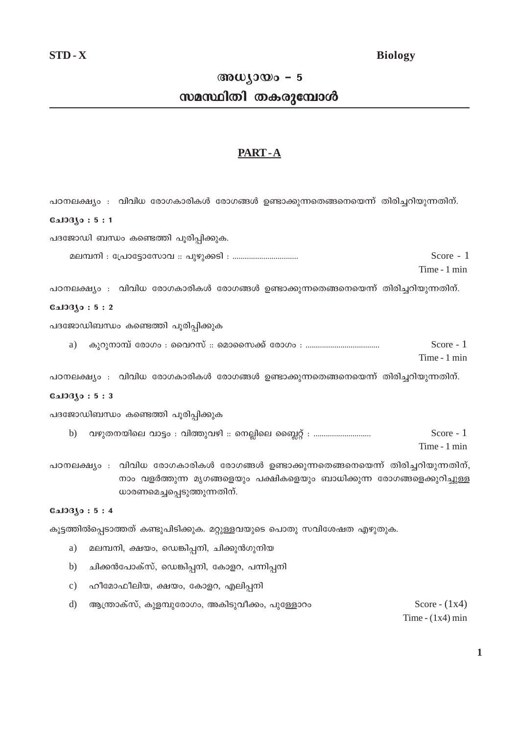## **Biology**

# അധ്യായം -  $5$

# സമസ്ഥിതി തകരുമ്പോൾ

# PART-A

പഠനലക്ഷ്യം : വിവിധ രോഗകാരികൾ രോഗങ്ങൾ ഉണ്ടാക്കുന്നതെങ്ങനെയെന്ന് തിരിച്ചറിയുന്നതിന്. **CalOBAo: 5:1** പദജോഡി ബന്ധം കണ്ടെത്തി പൂരിപ്പിക്കുക. Score  $-1$ മലമ്പനി : പ്രോട്ടോസോവ :: പുഴുക്കടി : ................................ Time - 1 min പഠനലക്ഷ്യം : വിവിധ രോഗകാരികൾ രോഗങ്ങൾ ഉണ്ടാക്കുന്നതെങ്ങനെയെന്ന് തിരിച്ചറിയുന്നതിന്.  $0.103(0:5:2)$ പദജോഡിബന്ധം കണ്ടെത്തി പൂരിപ്പിക്കുക Score  $-1$ a) Time - 1 min പഠനലക്ഷ്യം : വിവിധ രോഗകാരികൾ രോഗങ്ങൾ ഉണ്ടാക്കുന്നതെങ്ങനെയെന്ന് തിരിച്ചറിയുന്നതിന്. **G**\_103Jo: 5:3 പദജോഡിബന്ധം കണ്ടെത്തി പൂരിപ്പിക്കുക വഴുതനയിലെ വാട്ടം : വിത്തുവഴി :: നെല്ലിലെ ബ്ലൈറ്റ് : .............................  $b)$ Score  $-1$ Time - 1 min പഠനലക്ഷ്യം : വിവിധ രോഗകാരികൾ രോഗങ്ങൾ ഉണ്ടാക്കുന്നതെങ്ങനെയെന്ന് തിരിച്ചറിയുന്നതിന്, നാം വളർത്തുന്ന മൃഗങ്ങളെയും പക്ഷികളെയും ബാധിക്കുന്ന രോഗങ്ങളെക്കുറിച്ചുള്ള ധാരണമെച്ചപ്പെടുത്തുന്നതിന്. **Cal03jo:5:4** കൂട്ടത്തിൽപ്പെടാത്തത് കണ്ടുപിടിക്കുക. മറ്റുള്ളവയുടെ പൊതു സവിശേഷത എഴുതുക.

- മലമ്പനി, ക്ഷയം, ഡെങ്കിപ്പനി, ചിക്കുൻഗുനിയ a)
- $b)$ ചിക്കൻപോക്സ്, ഡെങ്കിപ്പനി, കോളറ, പന്നിപ്പനി
- $c)$ ഹീമോഫീലിയ, ക്ഷയം, കോളറ, എലിപ്പനി
- $d$ ആന്ത്രാക്സ്, കുളമ്പുരോഗം, അകിടുവീക്കം, പുള്ളോറം

Score -  $(1x4)$ Time -  $(1x4)$  min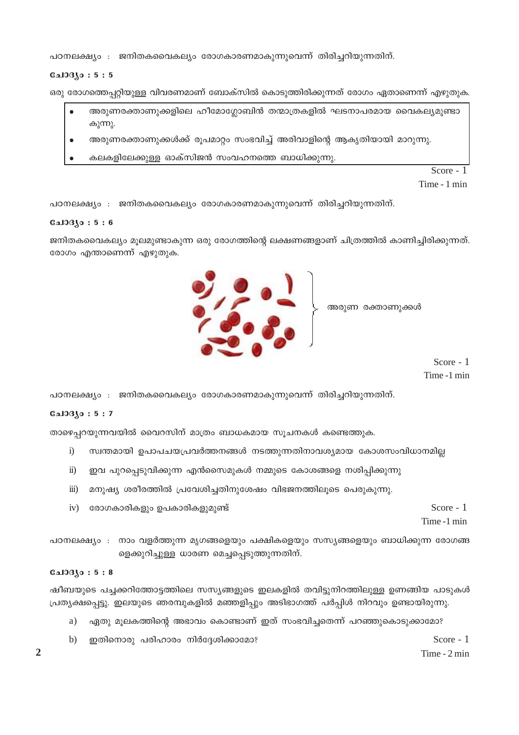പഠനലക്ഷ്യം : ജനിതകവൈകല്യം രോഗകാരണമാകുന്നുവെന്ന് തിരിച്ചറിയുന്നതിന്.

#### $0.103(0:5:5)$

ഒരു രോഗത്തെപ്പറ്റിയുള്ള വിവരണമാണ് ബോക്സിൽ കൊടുത്തിരിക്കുന്നത് രോഗം ഏതാണെന്ന് എഴുതുക.

- അരുണരക്താണുക്കളിലെ ഹീമോഗ്ലോബിൻ തന്മാത്രകളിൽ ഘടനാപരമായ വൈകല്യമുണ്ടാ കുന്നു.
- അരുണരക്താണുക്കൾക്ക് രൂപമാറ്റം സംഭവിച്ച് അരിവാളിന്റെ ആകൃതിയായി മാറുന്നു.
- കലകളിലേക്കുള്ള ഓക്സിജൻ സംവഹനത്തെ ബാധിക്കുന്നു.

Score - 1

Time - 1 min

പഠനലക്ഷ്യം : ജനിതകവൈകല്യം രോഗകാരണമാകുന്നുവെന്ന് തിരിച്ചറിയുന്നതിന്.

#### **CalOBJo: 5:6**

ജനിതകവൈകല്യം മൂലമുണ്ടാകുന്ന ഒരു രോഗത്തിന്റെ ലക്ഷണങ്ങളാണ് ചിത്രത്തിൽ കാണിച്ചിരിക്കുന്നത്. രോഗം എന്താണെന്ന് എഴുതുക.

> അരുണ രക്താണുക്കൾ

Score  $-1$ Time -1 min



#### **Gal33Jo:5:7**

താഴെപ്പറയുന്നവയിൽ വൈറസിന് മാത്രം ബാധകമായ സൂചനകൾ കണ്ടെത്തുക.

- $\ddot{1}$ സ്വന്തമായി ഉപാപചയപ്രവർത്തനങ്ങൾ നടത്തുന്നതിനാവശ്യമായ കോശസംവിധാനമില്ല
- $\ddot{\textbf{i}}$ ഇവ പുറപ്പെടുവിക്കുന്ന എൻസൈമുകൾ നമ്മുടെ കോശങ്ങളെ നശിപ്പിക്കുന്നു
- മനുഷ്യ ശരീരത്തിൽ പ്രവേശിച്ചതിനുശേഷം വിഭജനത്തിലൂടെ പെരുകുന്നു.  $\dddot{\mathbf{m}}$ )
- 
- 
- 
- 
- 
- 
- 
- 
- 
- 

രോഗകാരികളും ഉപകാരികളുമുണ്ട്

Score  $-1$ 

Time -1 min

പഠനലക്ഷ്യം : നാം വളർത്തുന്ന മൃഗങ്ങളെയും പക്ഷികളെയും സസ്യങ്ങളെയും ബാധിക്കുന്ന രോഗങ്ങ ളെക്കുറിച്ചുള്ള ധാരണ മെച്ചപ്പെടുത്തുന്നതിന്.

#### $0.103(0:5:8)$

 $iv)$ 

ഷീബയുടെ പച്ചക്കറിത്തോട്ടത്തിലെ സസ്യങ്ങളുടെ ഇലകളിൽ തവിട്ടുനിറത്തിലുള്ള ഉണങ്ങിയ പാടുകൾ പ്രത്യക്ഷപ്പെട്ടു. ഇലയുടെ ഞരമ്പുകളിൽ മഞ്ഞളിപ്പും അടിഭാഗത്ത് പർപ്പിൾ നിറവും ഉണ്ടായിരുന്നു.

- ഏതു മൂലകത്തിന്റെ അഭാവം കൊണ്ടാണ് ഇത് സംഭവിച്ചതെന്ന് പറഞ്ഞുകൊടുക്കാമോ? a)
- ഇതിനൊരു പരിഹാരം നിർദ്ദേശിക്കാമോ?  $\mathbf{b}$

 $\overline{2}$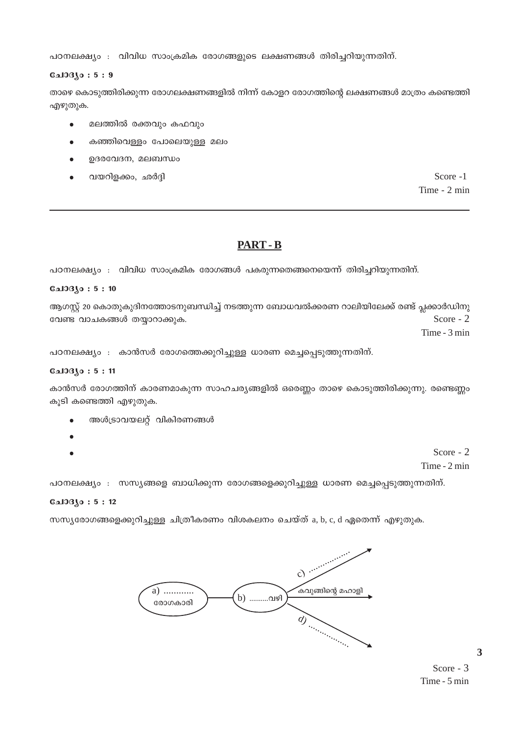പഠനലക്ഷ്യം : വിവിധ സാംക്രമിക രോഗങ്ങളുടെ ലക്ഷണങ്ങൾ തിരിച്ചറിയുന്നതിന്.

## $0.103(0:5:9)$

താഴെ കൊടുത്തിരിക്കുന്ന രോഗലക്ഷണങ്ങളിൽ നിന്ന് കോളറ രോഗത്തിന്റെ ലക്ഷണങ്ങൾ മാത്രം കണ്ടെത്തി എഴുതുക.

- മലത്തിൽ രക്തവും കഫവും  $\bullet$
- കഞ്ഞിവെള്ളം പോലെയുള്ള മലം
- ഉദരവേദന, മലബന്ധം
- വയറിളക്കം, ഛർദ്ദി

Score -1 Time - 2 min

# **PART-B**

പഠനലക്ഷ്യം : വിവിധ സാംക്രമിക രോഗങ്ങൾ പകരുന്നതെങ്ങനെയെന്ന് തിരിച്ചറിയുന്നതിന്.

#### $0.103(0:5:10)$

ആഗസ്റ്റ് 20 കൊതുകുദിനത്തോടനുബന്ധിച്ച് നടത്തുന്ന ബോധവൽക്കരണ റാലിയിലേക്ക് രണ്ട് പ്ലക്കാർഡിനു വേണ്ട വാചകങ്ങൾ തയ്യാറാക്കുക. Score - 2

Time - 3 min

പഠനലക്ഷ്യം : കാൻസർ രോഗത്തെക്കുറിച്ചുള്ള ധാരണ മെച്ചപ്പെടുത്തുന്നതിന്.

### ചോദ്യം : **5** : 11

കാൻസർ രോഗത്തിന് കാരണമാകുന്ന സാഹചര്യങ്ങളിൽ ഒരെണ്ണം താഴെ കൊടുത്തിരിക്കുന്നു. രണ്ടെണ്ണം കൂടി കണ്ടെത്തി എഴുതുക.

- അൾട്രാവയലറ്റ് വികിരണങ്ങൾ
- Score 2 Time - 2 min

പഠനലക്ഷ്യം : സസ്യങ്ങളെ ബാധിക്കുന്ന രോഗങ്ങളെക്കുറിച്ചുള്ള ധാരണ മെച്ചപ്പെടുത്തുന്നതിന്.

#### $0.103(0:5:12)$

സസ്യരോഗങ്ങളെക്കുറിച്ചുള്ള ചിത്രീകരണം വിശകലനം ചെയ്ത് a, b, c, d ഏതെന്ന് എഴുതുക.



Score -  $3$ Time - 5 min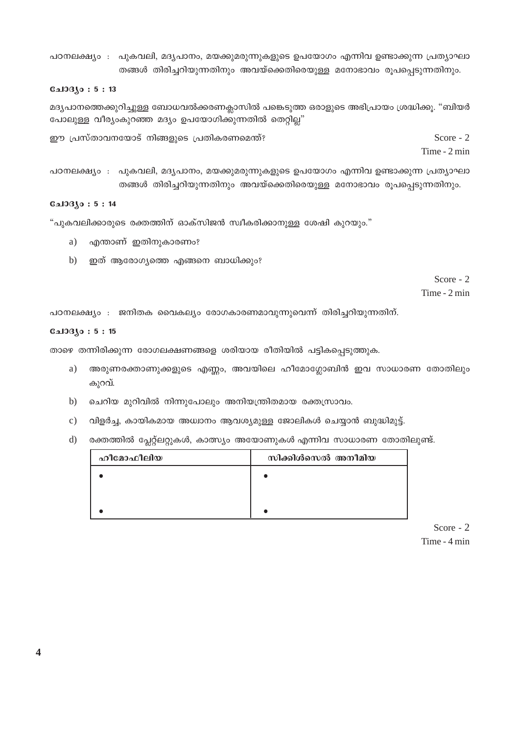പഠനലക്ഷ്യം : പുകവലി, മദ്യപാനം, മയക്കുമരുന്നുകളുടെ ഉപയോഗം എന്നിവ ഉണ്ടാക്കുന്ന പ്രത്യാഘാ തങ്ങൾ തിരിച്ചറിയുന്നതിനും അവയ്ക്കെതിരെയുള്ള മനോഭാവം രൂപപ്പെടുന്നതിനും.

#### **Galogyo: 5:13**

മദ്യപാനത്തെക്കുറിച്ചുള്ള ബോധവൽക്കരണക്ലാസിൽ പങ്കെടുത്ത ഒരാളുടെ അഭിപ്രായം ശ്രദ്ധിക്കൂ. "ബിയർ പോലുള്ള വീര്യംകുറഞ്ഞ മദ്യം ഉപയോഗിക്കുന്നതിൽ തെറ്റില്ല"

ഈ പ്രസ്താവനയോട് നിങ്ങളുടെ പ്രതികരണമെന്ത്? Score -  $2$ 

Time - 2 min

പഠനലക്ഷ്യം : പുകവലി, മദ്യപാനം, മയക്കുമരുന്നുകളുടെ ഉപയോഗം എന്നിവ ഉണ്ടാക്കുന്ന പ്രത്യാഘാ തങ്ങൾ തിരിച്ചറിയുന്നതിനും അവയ്ക്കെതിരെയുള്ള മനോഭാവം രൂപപ്പെടുന്നതിനും.

#### **பോദ്യം: 5:14**

"പുകവലിക്കാരുടെ രക്തത്തിന് ഓക്സിജൻ സ്വീകരിക്കാനുള്ള ശേഷി കുറയും."

- a) എന്താണ് ഇതിനുകാരണം?
- b) ഇത് ആരോഗ്യത്തെ എങ്ങനെ ബാധിക്കും?

Score -  $2$ Time - 2 min

പഠനലക്ഷ്യം : ജനിതക വൈകല്യം രോഗകാരണമാവുന്നുവെന്ന് തിരിച്ചറിയുന്നതിന്.

#### $0.103(0:5:15)$

താഴെ തന്നിരിക്കുന്ന രോഗലക്ഷണങ്ങളെ ശരിയായ രീതിയിൽ പട്ടികപ്പെടുത്തുക.

- അരുണരക്താണുക്കളുടെ എണ്ണം, അവയിലെ ഹീമോഗ്ലോബിൻ ഇവ സാധാരണ തോതിലും a) കുറവ്.
- ചെറിയ മുറിവിൽ നിന്നുപോലും അനിയന്ത്രിതമായ രക്തസ്രാവം.  $b)$
- വിളർച്ച, കായികമായ അധ്വാനം ആവശ്യമുള്ള ജോലികൾ ചെയ്യാൻ ബുദ്ധിമുട്ട്.  $\mathcal{C}$ )
- $\mathbf{d}$ രക്തത്തിൽ പ്ലേറ്റ്ലറ്റുകൾ, കാത്സ്യം അയോണുകൾ എന്നിവ സാധാരണ തോതിലുണ്ട്.

| ഹീമോഫീലിയ | സിക്കിൾസെൽ അനീമിയ |
|-----------|-------------------|
|           |                   |
|           |                   |
|           |                   |

Score -  $2$ Time - 4 min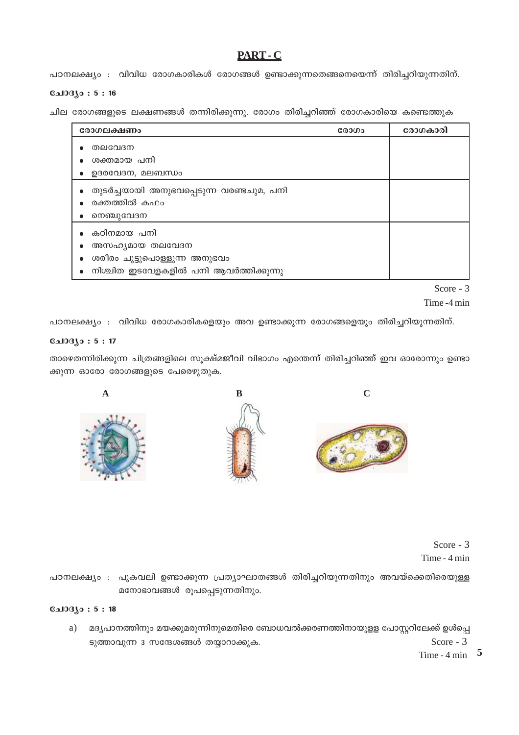# PART-C

പഠനലക്ഷ്യം : വിവിധ രോഗകാരികൾ രോഗങ്ങൾ ഉണ്ടാക്കുന്നതെങ്ങനെയെന്ന് തിരിച്ചറിയുന്നതിന്.

## $0.103(0:5:16)$

ചില രോഗങ്ങളുടെ ലക്ഷണങ്ങൾ തന്നിരിക്കുന്നു. രോഗം തിരിച്ചറിഞ്ഞ് രോഗകാരിയെ കണ്ടെത്തുക

| രോഗലക്ഷണം                                                                                                           | രോഗം | രോഗകാരി |
|---------------------------------------------------------------------------------------------------------------------|------|---------|
| തലവേദന<br>ശക്തമായ പനി<br>ഉദരവേദന, മലബന്ധം                                                                           |      |         |
| തുടർച്ചയായി അനുഭവപ്പെടുന്ന വരണ്ടചുമ, പനി<br>രക്തത്തിൽ കഫം<br>നെഞ്ചുവേദന                                             |      |         |
| കഠിനമായ പനി<br>അസഹൃമായ തലവേദന<br>ശരീരം ചുട്ടുപൊള്ളുന്ന അനുഭവം<br>നിശ്ചിത ഇടവേളകളിൽ പനി ആവർത്തിക്കുന്നു<br>$\bullet$ |      |         |

Score - 3

Time -4 min

പഠനലക്ഷ്യം : വിവിധ രോഗകാരികളെയും അവ ഉണ്ടാക്കുന്ന രോഗങ്ങളെയും തിരിച്ചറിയുന്നതിന്.

## ചോദ്യം : 5 : 17

 $\mathbf{A}$ 

താഴെതന്നിരിക്കുന്ന ചിത്രങ്ങളിലെ സൂക്ഷ്മജീവി വിഭാഗം എന്തെന്ന് തിരിച്ചറിഞ്ഞ് ഇവ ഓരോന്നും ഉണ്ടാ ക്കുന്ന ഓരോ രോഗങ്ങളുടെ പേരെഴുതുക.



 $\overline{C}$ 



Score -  $3$ Time - 4 min

പഠനലക്ഷ്യം : പുകവലി ഉണ്ടാക്കുന്ന പ്രത്യാഘാതങ്ങൾ തിരിച്ചറിയുന്നതിനും അവയ്ക്കെതിരെയുള്ള മനോഭാവങ്ങൾ രൂപപ്പെടുന്നതിനും.

## $0.103$ јо: 5:18

മദ്യപാനത്തിനും മയക്കുമരുന്നിനുമെതിരെ ബോധവൽക്കരണത്തിനായുളള പോസ്റ്ററിലേക്ക് ഉൾപ്പെ  $a)$ ടുത്താവുന്ന 3 സന്ദേശങ്ങൾ തയ്യാറാക്കുക. Score -  $3$ 

Time -  $4 \text{ min}$  5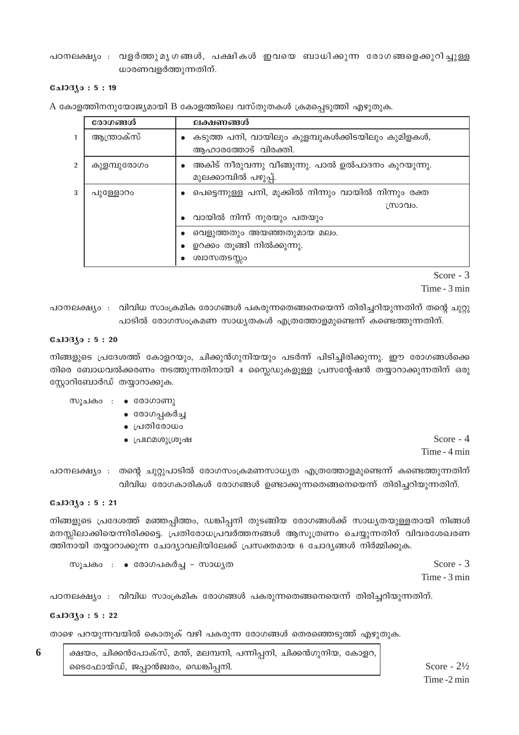പഠനലക്ഷ്യം : വളർത്തുമൃഗങ്ങൾ, പക്ഷികൾ ഇവയെ ബാധിക്കുന്ന രോഗങ്ങളെക്കുറിച്ചുള്ള ധാരണവളർത്തുന്നതിന്.

#### $0.103(0:5:19)$

A കോളത്തിനനുയോജ്യമായി B കോളത്തിലെ വസ്തുതകൾ ക്രമപ്പെടുത്തി എഴുതുക.

|   | രോഗങ്ങൾ     | ലക്ഷണങ്ങൾ                                                                   |  |
|---|-------------|-----------------------------------------------------------------------------|--|
| 1 | ആന്ത്രാക്സ് | കടുത്ത പനി, വായിലും കുളമ്പുകൾക്കിടയിലും കുമിളകൾ,<br>ആഹാരത്തോട് വിരക്തി.     |  |
| 2 | കുളമ്പുരോഗം | അകിട് നീരുവന്നു വീങ്ങുന്നു. പാൽ ഉൽപാദനം കുറയുന്നു.<br>മുലക്കാമ്പിൽ പഴുപ്പ്. |  |
| 3 | പുള്ളോറം    | പെട്ടെന്നുള്ള പനി, മൂക്കിൽ നിന്നും വായിൽ നിന്നും രക്ത<br>സ്രാവം.            |  |
|   |             | വായിൽ നിന്ന് നുരയും പതയും                                                   |  |
|   |             | വെളുത്തതും അയഞ്ഞതുമായ മലം.                                                  |  |
|   |             | ഉറക്കം തൂങ്ങി നിൽക്കുന്നു.                                                  |  |
|   |             | ശ്വാസതടസ്സം                                                                 |  |

Score - 3 Time - 3 min

്പഠനലക്ഷ്യം : വിവിധ സാംക്രമിക രോഗങ്ങൾ പകരുന്നതെങ്ങനെയെന്ന് തിരിച്ചറിയുന്നതിന് തന്റെ ചുറ്റു പാടിൽ രോഗസംക്രമണ സാധ്യതകൾ എത്രത്തോളമുണ്ടെന്ന് കണ്ടെത്തുന്നതിന്.

#### $0.103(0:5:20)$

നിങ്ങളുടെ പ്രദേശത്ത് കോളറയും, ചിക്കുൻഗുനിയയും പടർന്ന് പിടിച്ചിരിക്കുന്നു. ഈ രോഗങ്ങൾക്കെ തിരെ ബോധവൽക്കരണം നടത്തുന്നതിനായി 4 സ്റ്റൈഡുകളുള്ള പ്രസന്റേഷൻ തയ്യാറാക്കുന്നതിന് ഒരു സ്റ്റോറിബോർഡ് തയ്യാറാക്കുക.

#### സൂചകം ∶ ∙ രോഗാണു

- ∙ രോഗപ്പകർച്ച
- ∙ പ്രതിരോധം
- പ്രഥമശുശ്രൂഷ

Score -  $4$ Time - 4 min

്പഠനലക്ഷ്യം : തന്റെ ചുറ്റുപാടിൽ രോഗസംക്രമണസാധ്യത എത്രത്തോളമുണ്ടെന്ന് കണ്ടെത്തുന്നതിന് വിവിധ രോഗകാരികൾ രോഗങ്ങൾ ഉണ്ടാക്കുന്നതെങ്ങനെയെന്ന് തിരിച്ചറിയുന്നതിന്.

#### $0.103(0:5:21)$

നിങ്ങളുടെ പ്രദേശത്ത് മഞ്ഞപ്പിത്തം, ഡങ്കിപ്പനി തുടങ്ങിയ രോഗങ്ങൾക്ക് സാധ്യതയുള്ളതായി നിങ്ങൾ മനസ്സിലാക്കിയെന്നിരിക്കട്ടെ. പ്രതിരോധപ്രവർത്തനങ്ങൾ ആസുത്രണം ചെയ്യുന്നതിന് വിവരശേഖരണ ത്തിനായി തയ്യാറാക്കുന്ന ചോദ്യാവലിയിലേക്ക് പ്രസക്തമായ 6 ചോദ്യങ്ങൾ നിർമ്മിക്കുക.

സൂചകം ∶ ∙ രോഗപകർച്ച - സാധൃത

Score -  $3$ Time - 3 min

പഠനലക്ഷ്യം : വിവിധ സാംക്രമിക രോഗങ്ങൾ പകരുന്നതെങ്ങനെയെന്ന് തിരിച്ചറിയുന്നതിന്.

### ചോദ്യം : 5 : 22

താഴെ പറയുന്നവയിൽ കൊതുക് വഴി പകരുന്ന രോഗങ്ങൾ തെരഞ്ഞെടുത്ത് എഴുതുക.

ക്ഷയം, ചിക്കൻപോക്സ്, മന്ത്, മലമ്പനി, പന്നിപ്പനി, ചിക്കൻഗുനിയ, കോളറ, ടൈഫോയ്ഡ്, ജപ്പാൻജ്വരം, ഡെങ്കിപ്പനി.

Score -  $2\frac{1}{2}$ Time-2 min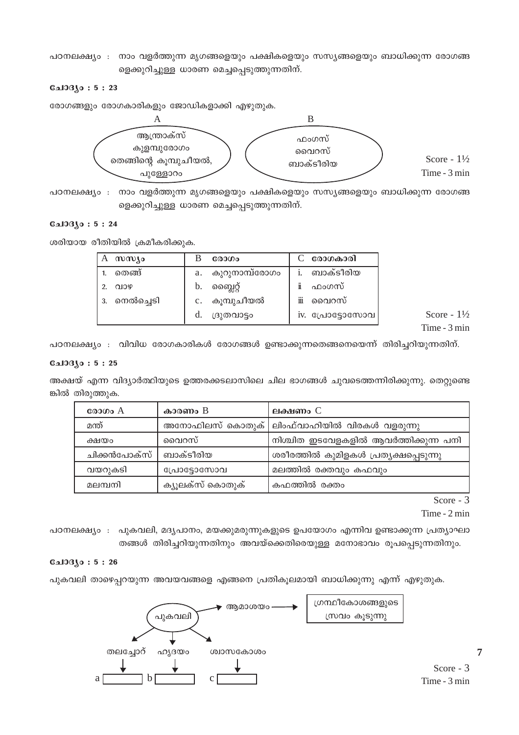പഠനലക്ഷ്യം : നാം വളർത്തുന്ന മൃഗങ്ങളെയും പക്ഷികളെയും സസ്യങ്ങളെയും ബാധിക്കുന്ന രോഗങ്ങ ളെക്കുറിച്ചുള്ള ധാരണ മെച്ചപ്പെടുത്തുന്നതിന്.

#### $0.103(0:5:23)$

രോഗങ്ങളും രോഗകാരികളും ജോഡികളാക്കി എഴുതുക.



പഠനലക്ഷ്യം : നാം വളർത്തുന്ന മൃഗങ്ങളെയും പക്ഷികളെയും സസ്യങ്ങളെയും ബാധിക്കുന്ന രോഗങ്ങ ളെക്കുറിച്ചുള്ള ധാരണ മെച്ചപ്പെടുത്തുന്നതിന്.

## **Galogyo: 5:24**

ശരിയായ രീതിയിൽ ക്രമീകരിക്കുക.

| സസ്യം        | രോഗം                 | രോഗകാരി         |
|--------------|----------------------|-----------------|
| തെങ്ങ്       | കുറുനാമ്പ്രോഗം<br>a. | ബാക്ടീരിയ       |
| QIOQ         | ബ്ലൈറ്റ്<br>b.       | ഫംഗസ്           |
| 3. നെൽച്ചെടി | c. കുമ്പുചീയൽ        | ïΪ<br>വൈറസ്     |
|              | d.<br>ദ്രുതവാട്ടം    | iv. പ്രോട്ടോസോവ |

Score -  $1\frac{1}{2}$ Time - 3 min

പഠനലക്ഷ്യം : വിവിധ രോഗകാരികൾ രോഗങ്ങൾ ഉണ്ടാക്കുന്നതെങ്ങനെയെന്ന് തിരിച്ചറിയുന്നതിന്.

#### $0.103(0:5:25)$

അക്ഷയ് എന്ന വിദ്യാർത്ഥിയുടെ ഉത്തരക്കടലാസിലെ ചില ഭാഗങ്ങൾ ചുവടെത്തന്നിരിക്കുന്നു. തെറ്റുണ്ടെ ങ്കിൽ തിരുത്തുക.

| രോഗം $A$     | കാരണം B          | ലക്ഷണം $\mathcal C$                   |
|--------------|------------------|---------------------------------------|
| മന്ത്        | അനോഫിലസ് കൊതുക്  | ലിംഫ്വാഹിയിൽ വിരകൾ വളരുന്നു           |
| ക്ഷയം        | വൈറസ്            | നിശ്ചിത ഇടവേളകളിൽ ആവർത്തിക്കുന്ന പനി  |
| ചിക്കൻപോക്സ് | ബാക്ടീരിയ        | ശരീരത്തിൽ കുമിളകൾ പ്രത്യക്ഷപ്പെടുന്നു |
| വയറുകടി      | പ്രോട്ടോസോവ      | മലത്തിൽ രക്തവും കഫവും                 |
| മലമ്പനി      | ക്യൂലക്സ് കൊതുക് | കഫത്തിൽ രക്തം                         |

Score -  $3$ 

Time - 2 min

പഠനലക്ഷ്യം : പുകവലി, മദ്യപാനം, മയക്കുമരുന്നുകളുടെ ഉപയോഗം എന്നിവ ഉണ്ടാക്കുന്ന പ്രത്യാഘാ തങ്ങൾ തിരിച്ചറിയുന്നതിനും അവയ്ക്കെതിരെയുള്ള മനോഭാവം രൂപപ്പെടുന്നതിനും.

## $0.103$ јо: 5:26

പുകവലി താഴെപ്പറയുന്ന അവയവങ്ങളെ എങ്ങനെ പ്രതികുലമായി ബാധിക്കുന്നു എന്ന് എഴുതുക.

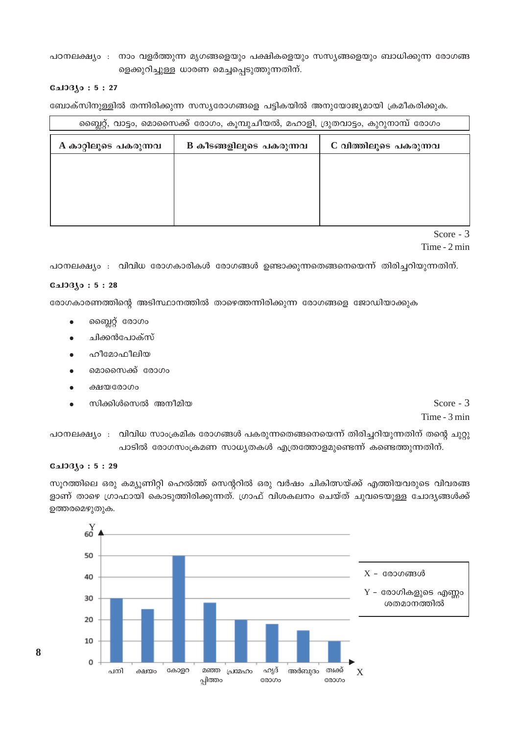## പഠനലക്ഷ്യം : നാം വളർത്തുന്ന മൃഗങ്ങളെയും പക്ഷികളെയും സസ്യങ്ങളെയും ബാധിക്കുന്ന രോഗങ്ങ ളെക്കുറിച്ചുള്ള ധാരണ മെച്ചപ്പെടുത്തുന്നതിന്.

### $0.103(0:5:27)$

ബോക്സിനുള്ളിൽ തന്നിരിക്കുന്ന സസ്യരോഗങ്ങളെ പട്ടികയിൽ അനുയോജ്യമായി ക്രമീകരിക്കുക.

| സ്ലൈറ്റ്, വാട്ടം, മൊസൈക്ക് രോഗം, കൂമ്പുചീയൽ, മഹാളി, ദ്രുതവാട്ടം, കുറുനാമ്പ് രോഗം |                                                  |  |  |
|----------------------------------------------------------------------------------|--------------------------------------------------|--|--|
| A കാറ്റിലൂടെ പകരുന്നവ                                                            | C വിത്തിലൂടെ പകരുന്നവ<br>B കീടങ്ങളിലൂടെ പകരുന്നവ |  |  |
|                                                                                  |                                                  |  |  |
|                                                                                  |                                                  |  |  |
|                                                                                  |                                                  |  |  |
|                                                                                  |                                                  |  |  |

Score -  $3$ 

#### Time - 2 min

പഠനലക്ഷ്യം : വിവിധ രോഗകാരികൾ രോഗങ്ങൾ ഉണ്ടാക്കുന്നതെങ്ങനെയെന്ന് തിരിച്ചറിയുന്നതിന്.

## **Gal**3330:5:28

രോഗകാരണത്തിന്റെ അടിസ്ഥാനത്തിൽ താഴെത്തന്നിരിക്കുന്ന രോഗങ്ങളെ ജോഡിയാക്കുക

- ബ്ലൈറ്റ് രോഗം  $\bullet$
- ചിക്കൻപോക്സ്
- ഹീമോഫീലിയ
- മൊസൈക്ക് രോഗം
- ക്ഷയരോഗം
- സിക്കിൾസെൽ അനീമിയ

Score -  $3$ 

Time - 3 min

പഠനലക്ഷ്യം : വിവിധ സാംക്രമിക രോഗങ്ങൾ പകരുന്നതെങ്ങനെയെന്ന് തിരിച്ചറിയുന്നതിന് തന്റെ ചുറ്റു പാടിൽ രോഗസംക്രമണ സാധ്യതകൾ എത്രത്തോളമുണ്ടെന്ന് കണ്ടെത്തുന്നതിന്.

## $0.103(0:5:29)$

സുറത്തിലെ ഒരു കമ്യൂണിറ്റി ഹെൽത്ത് സെന്ററിൽ ഒരു വർഷം ചികിത്സയ്ക്ക് എത്തിയവരുടെ വിവരങ്ങ ളാണ് താഴെ ഗ്രാഫായി കൊടുത്തിരിക്കുന്നത്. ഗ്രാഫ് വിശകലനം ചെയ്ത് ചുവടെയുള്ള ചോദ്യങ്ങൾക്ക് ഉത്തരമെഴുതുക.



8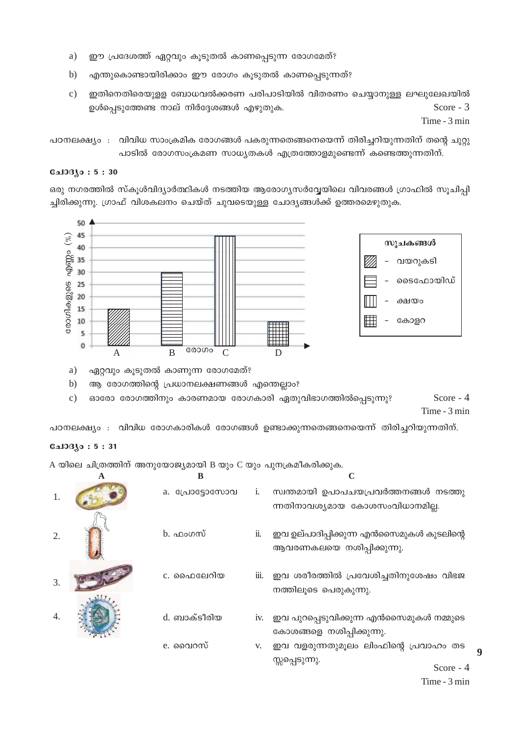- ഈ പ്രദേശത്ത് ഏറ്റവും കൂടുതൽ കാണപ്പെടുന്ന രോഗമേത്? a)
- $b)$ എന്തുകൊണ്ടായിരിക്കാം ഈ രോഗം കൂടുതൽ കാണപ്പെടുന്നത്?
- $c)$ ഇതിനെതിരെയുള്ള ബോധവൽക്കരണ പരിപാടിയിൽ വിതരണം ചെയ്യാനുള്ള ലഘുലേഖയിൽ ഉൾപ്പെടുത്തേണ്ട നാല് നിർദ്ദേശങ്ങൾ എഴുതുക. Score - 3

Time - 3 min

പഠനലക്ഷ്യം : വിവിധ സാംക്രമിക രോഗങ്ങൾ പകരുന്നതെങ്ങനെയെന്ന് തിരിച്ചറിയുന്നതിന് തന്റെ ചുറ്റു പാടിൽ രോഗസംക്രമണ സാധ്യതകൾ എത്രത്തോളമുണ്ടെന്ന് കണ്ടെത്തുന്നതിന്.

#### **CalOBJo: 5:30**

ഒരു നഗരത്തിൽ സ്കൂൾവിദ്യാർത്ഥികൾ നടത്തിയ ആരോഗ്യസർവ്വേയിലെ വിവരങ്ങൾ ഗ്രാഫിൽ സുചിപ്പി ച്ചിരിക്കുന്നു. ഗ്രാഫ് വിശകലനം ചെയ്ത് ചുവടെയുള്ള ചോദ്യങ്ങൾക്ക് ഉത്തരമെഴുതുക.



- ഏറ്റവും കൂടുതൽ കാണുന്ന രോഗമേത്? a)
- ആ രോഗത്തിന്റെ പ്രധാനലക്ഷണങ്ങൾ എന്തെല്ലാം?  $b)$

Score - 4 ഓരോ രോഗത്തിനും കാരണമായ രോഗകാരി ഏതുവിഭാഗത്തിൽപ്പെടുന്നു?  $\mathbf{c})$ Time - 3 min

പഠനലക്ഷ്യം : വിവിധ രോഗകാരികൾ രോഗങ്ങൾ ഉണ്ടാക്കുന്നതെങ്ങനെയെന്ന് തിരിച്ചറിയുന്നതിന്.

## **CalOBAo: 5:31**

A യിലെ ചിത്രത്തിന് അനുയോജ്യമായി B യും C യും പുനക്രമീകരിക്കുക.

|    | B                     |      |                                                                          |
|----|-----------------------|------|--------------------------------------------------------------------------|
| 1. | a. <b>CADESOCMOOL</b> | 1.   | സ്വന്തമായി ഉപാപചയപ്രവർത്തനങ്ങൾ നടത്തു<br>ന്നതിനാവശ്യമായ കോശസംവിധാനമില്ല. |
| 2. | <u>b.</u> ഫംഗസ്       | ii.  | ഇവ ഉല്പാദിപ്പിക്കുന്ന എൻസൈമുകൾ കുടലിന്റെ<br>ആവരണകലയെ നശിപ്പിക്കുന്നു.    |
| 3. | c. ഫൈലേറിയ            | 111. | ഇവ ശരീരത്തിൽ പ്രവേശിച്ചതിനുശേഷം വിഭജ<br>നത്തിലൂടെ പെരുകുന്നു.            |
| 4. | d. ബാക്ടീരിയ          | 1V.  | ഇവ പുറപ്പെടുവിക്കുന്ന എൻസൈമുകൾ നമ്മുടെ<br>കോശങ്ങളെ നശിപ്പിക്കുന്നു.      |
|    | e. വൈറസ്              | V.   | ഇവ വളരുന്നതുമൂലം ലിംഫിന്റെ പ്രവാഹം തട<br>സ്സപ്പെടുന്നു.<br>Score $-4$    |

 $\boldsymbol{Q}$